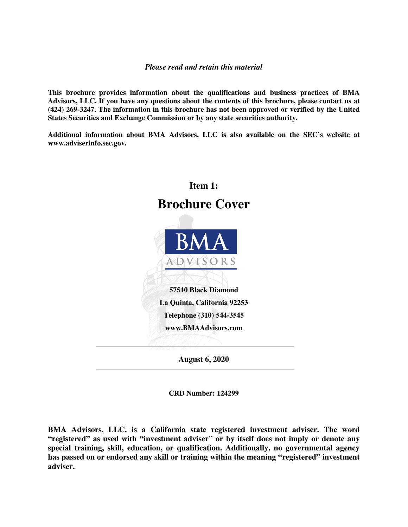#### *Please read and retain this material*

**This brochure provides information about the qualifications and business practices of BMA Advisors, LLC. If you have any questions about the contents of this brochure, please contact us at (424) 269-3247. The information in this brochure has not been approved or verified by the United States Securities and Exchange Commission or by any state securities authority.** 

**Additional information about BMA Advisors, LLC is also available on the SEC's website at www.adviserinfo.sec.gov.** 



**CRD Number: 124299** 

**BMA Advisors, LLC. is a California state registered investment adviser. The word "registered" as used with "investment adviser" or by itself does not imply or denote any special training, skill, education, or qualification. Additionally, no governmental agency has passed on or endorsed any skill or training within the meaning "registered" investment adviser.**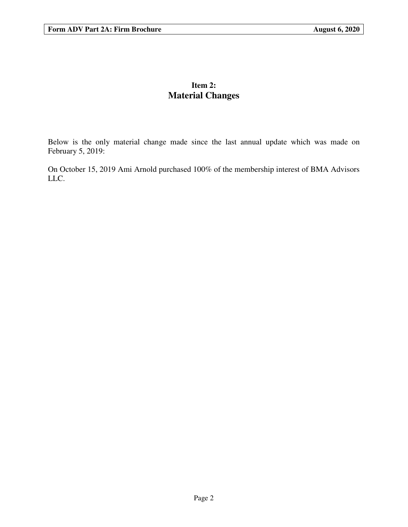## **Item 2: Material Changes**

Below is the only material change made since the last annual update which was made on February 5, 2019:

On October 15, 2019 Ami Arnold purchased 100% of the membership interest of BMA Advisors LLC.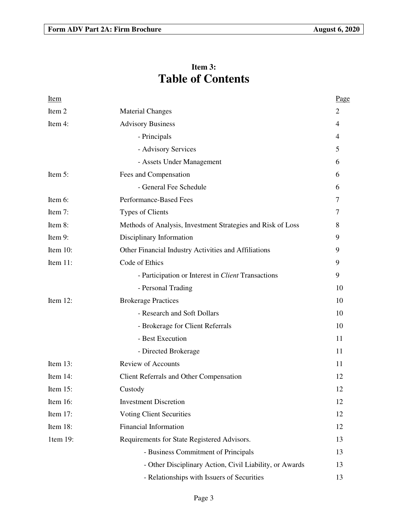# **Item 3: Table of Contents**

| Item        |                                                             | <u>Page</u>    |
|-------------|-------------------------------------------------------------|----------------|
| Item 2      | <b>Material Changes</b>                                     | 2              |
| Item 4:     | <b>Advisory Business</b>                                    | 4              |
|             | - Principals                                                | 4              |
|             | - Advisory Services                                         | 5              |
|             | - Assets Under Management                                   | 6              |
| Item 5:     | Fees and Compensation                                       | 6              |
|             | - General Fee Schedule                                      | 6              |
| Item 6:     | Performance-Based Fees                                      | $\overline{7}$ |
| Item 7:     | <b>Types of Clients</b>                                     | 7              |
| Item 8:     | Methods of Analysis, Investment Strategies and Risk of Loss | 8              |
| Item 9:     | Disciplinary Information                                    | 9              |
| Item 10:    | Other Financial Industry Activities and Affiliations        | 9              |
| Item 11:    | Code of Ethics                                              | 9              |
|             | - Participation or Interest in Client Transactions          | 9              |
|             | - Personal Trading                                          | 10             |
| Item 12:    | <b>Brokerage Practices</b>                                  | 10             |
|             | - Research and Soft Dollars                                 | 10             |
|             | - Brokerage for Client Referrals                            | 10             |
|             | - Best Execution                                            | 11             |
|             | - Directed Brokerage                                        | 11             |
| Item $13$ : | Review of Accounts                                          | 11             |
| Item 14:    | <b>Client Referrals and Other Compensation</b>              | 12             |
| Item $15$ : | Custody                                                     | 12             |
| Item 16:    | <b>Investment Discretion</b>                                | 12             |
| Item 17:    | <b>Voting Client Securities</b>                             | 12             |
| Item 18:    | Financial Information                                       | 12             |
| 1tem 19:    | Requirements for State Registered Advisors.                 | 13             |
|             | - Business Commitment of Principals                         | 13             |
|             | - Other Disciplinary Action, Civil Liability, or Awards     | 13             |
|             | - Relationships with Issuers of Securities                  | 13             |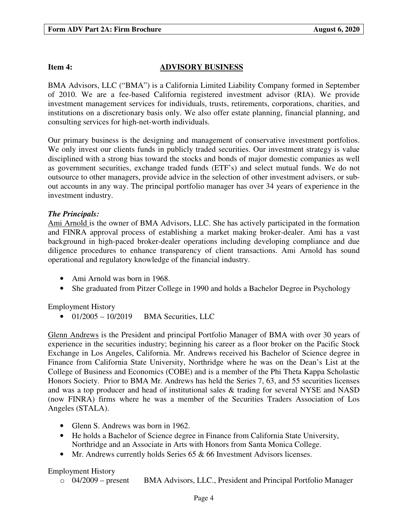### **Item 4:** ADVISORY BUSINESS

BMA Advisors, LLC ("BMA") is a California Limited Liability Company formed in September of 2010. We are a fee-based California registered investment advisor (RIA). We provide investment management services for individuals, trusts, retirements, corporations, charities, and institutions on a discretionary basis only. We also offer estate planning, financial planning, and consulting services for high-net-worth individuals.

Our primary business is the designing and management of conservative investment portfolios. We only invest our clients funds in publicly traded securities. Our investment strategy is value disciplined with a strong bias toward the stocks and bonds of major domestic companies as well as government securities, exchange traded funds (ETF's) and select mutual funds. We do not outsource to other managers, provide advice in the selection of other investment advisers, or subout accounts in any way. The principal portfolio manager has over 34 years of experience in the investment industry.

#### *The Principals:*

Ami Arnold is the owner of BMA Advisors, LLC. She has actively participated in the formation and FINRA approval process of establishing a market making broker-dealer. Ami has a vast background in high-paced broker-dealer operations including developing compliance and due diligence procedures to enhance transparency of client transactions. Ami Arnold has sound operational and regulatory knowledge of the financial industry.

- Ami Arnold was born in 1968.
- She graduated from Pitzer College in 1990 and holds a Bachelor Degree in Psychology

Employment History

 $\bullet$  01/2005 – 10/2019 BMA Securities, LLC

Glenn Andrews is the President and principal Portfolio Manager of BMA with over 30 years of experience in the securities industry; beginning his career as a floor broker on the Pacific Stock Exchange in Los Angeles, California. Mr. Andrews received his Bachelor of Science degree in Finance from California State University, Northridge where he was on the Dean's List at the College of Business and Economics (COBE) and is a member of the Phi Theta Kappa Scholastic Honors Society. Prior to BMA Mr. Andrews has held the Series 7, 63, and 55 securities licenses and was a top producer and head of institutional sales & trading for several NYSE and NASD (now FINRA) firms where he was a member of the Securities Traders Association of Los Angeles (STALA).

- Glenn S. Andrews was born in 1962.
- He holds a Bachelor of Science degree in Finance from California State University, Northridge and an Associate in Arts with Honors from Santa Monica College.
- Mr. Andrews currently holds Series 65 & 66 Investment Advisors licenses.

#### Employment History

o 04/2009 – present BMA Advisors, LLC., President and Principal Portfolio Manager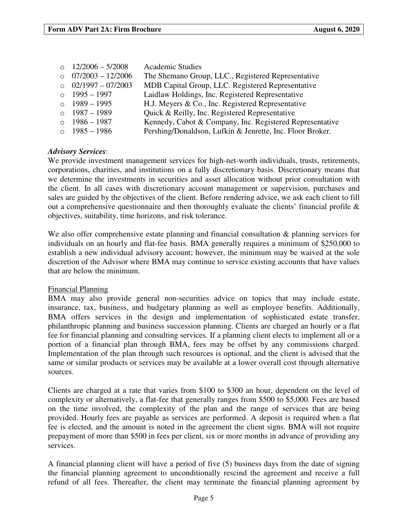| o $12/2006 - 5/2008$      | <b>Academic Studies</b>                                   |
|---------------------------|-----------------------------------------------------------|
| o $07/2003 - 12/2006$     | The Shemano Group, LLC., Registered Representative        |
| $\circ$ 02/1997 – 07/2003 | MDB Capital Group, LLC. Registered Representative         |
| $0$ 1995 – 1997           | Laidlaw Holdings, Inc. Registered Representative          |
| $0$ 1989 – 1995           | H.J. Meyers & Co., Inc. Registered Representative         |
| $0$ 1987 – 1989           | Quick & Reilly, Inc. Registered Representative            |
| $\circ$ 1986 – 1987       | Kennedy, Cabot & Company, Inc. Registered Representative  |
| o $1985 - 1986$           | Pershing/Donaldson, Lufkin & Jenrette, Inc. Floor Broker. |

#### *Advisory Services*:

We provide investment management services for high-net-worth individuals, trusts, retirements, corporations, charities, and institutions on a fully discretionary basis. Discretionary means that we determine the investments in securities and asset allocation without prior consultation with the client. In all cases with discretionary account management or supervision, purchases and sales are guided by the objectives of the client. Before rendering advice, we ask each client to fill out a comprehensive questionnaire and then thoroughly evaluate the clients' financial profile & objectives, suitability, time horizons, and risk tolerance.

We also offer comprehensive estate planning and financial consultation & planning services for individuals on an hourly and flat-fee basis. BMA generally requires a minimum of \$250,000 to establish a new individual advisory account; however, the minimum may be waived at the sole discretion of the Advisor where BMA may continue to service existing accounts that have values that are below the minimum.

#### Financial Planning

BMA may also provide general non-securities advice on topics that may include estate, insurance, tax, business, and budgetary planning as well as employee benefits. Additionally, BMA offers services in the design and implementation of sophisticated estate transfer, philanthropic planning and business succession planning. Clients are charged an hourly or a flat fee for financial planning and consulting services. If a planning client elects to implement all or a portion of a financial plan through BMA, fees may be offset by any commissions charged. Implementation of the plan through such resources is optional, and the client is advised that the same or similar products or services may be available at a lower overall cost through alternative sources.

Clients are charged at a rate that varies from \$100 to \$300 an hour, dependent on the level of complexity or alternatively, a flat-fee that generally ranges from \$500 to \$5,000. Fees are based on the time involved, the complexity of the plan and the range of services that are being provided. Hourly fees are payable as services are performed. A deposit is required when a flat fee is elected, and the amount is noted in the agreement the client signs. BMA will not require prepayment of more than \$500 in fees per client, six or more months in advance of providing any services.

A financial planning client will have a period of five (5) business days from the date of signing the financial planning agreement to unconditionally rescind the agreement and receive a full refund of all fees. Thereafter, the client may terminate the financial planning agreement by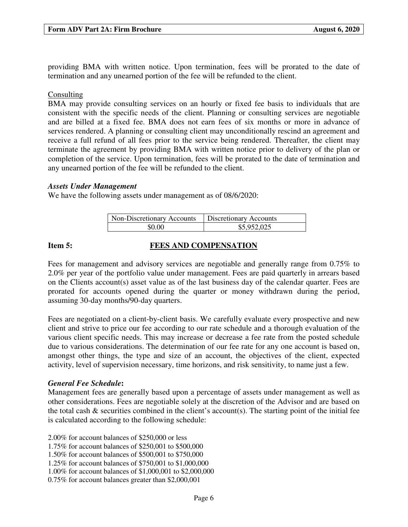providing BMA with written notice. Upon termination, fees will be prorated to the date of termination and any unearned portion of the fee will be refunded to the client.

#### Consulting

BMA may provide consulting services on an hourly or fixed fee basis to individuals that are consistent with the specific needs of the client. Planning or consulting services are negotiable and are billed at a fixed fee. BMA does not earn fees of six months or more in advance of services rendered. A planning or consulting client may unconditionally rescind an agreement and receive a full refund of all fees prior to the service being rendered. Thereafter, the client may terminate the agreement by providing BMA with written notice prior to delivery of the plan or completion of the service. Upon termination, fees will be prorated to the date of termination and any unearned portion of the fee will be refunded to the client.

#### *Assets Under Management*

We have the following assets under management as of 08/6/2020:

| Non-Discretionary Accounts | Discretionary Accounts |
|----------------------------|------------------------|
| \$0.00                     | \$5,952,025            |

### **Item 5: FEES AND COMPENSATION**

Fees for management and advisory services are negotiable and generally range from 0.75% to 2.0% per year of the portfolio value under management. Fees are paid quarterly in arrears based on the Clients account(s) asset value as of the last business day of the calendar quarter. Fees are prorated for accounts opened during the quarter or money withdrawn during the period, assuming 30-day months/90-day quarters.

Fees are negotiated on a client-by-client basis. We carefully evaluate every prospective and new client and strive to price our fee according to our rate schedule and a thorough evaluation of the various client specific needs. This may increase or decrease a fee rate from the posted schedule due to various considerations. The determination of our fee rate for any one account is based on, amongst other things, the type and size of an account, the objectives of the client, expected activity, level of supervision necessary, time horizons, and risk sensitivity, to name just a few.

#### *General Fee Schedule***:**

Management fees are generally based upon a percentage of assets under management as well as other considerations. Fees are negotiable solely at the discretion of the Advisor and are based on the total cash  $\&$  securities combined in the client's account(s). The starting point of the initial fee is calculated according to the following schedule:

2.00% for account balances of \$250,000 or less

1.75% for account balances of \$250,001 to \$500,000

1.50% for account balances of \$500,001 to \$750,000

1.25% for account balances of \$750,001 to \$1,000,000

1.00% for account balances of \$1,000,001 to \$2,000,000

0.75% for account balances greater than \$2,000,001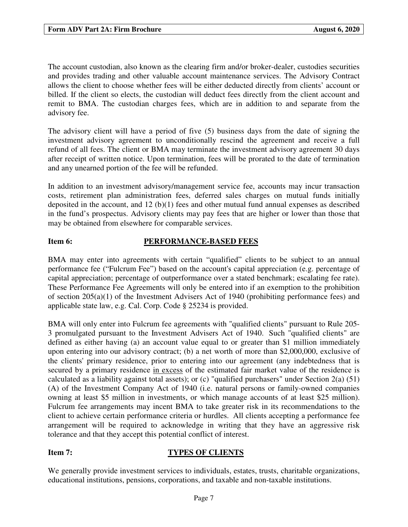The account custodian, also known as the clearing firm and/or broker-dealer, custodies securities and provides trading and other valuable account maintenance services. The Advisory Contract allows the client to choose whether fees will be either deducted directly from clients' account or billed. If the client so elects, the custodian will deduct fees directly from the client account and remit to BMA. The custodian charges fees, which are in addition to and separate from the advisory fee.

The advisory client will have a period of five (5) business days from the date of signing the investment advisory agreement to unconditionally rescind the agreement and receive a full refund of all fees. The client or BMA may terminate the investment advisory agreement 30 days after receipt of written notice. Upon termination, fees will be prorated to the date of termination and any unearned portion of the fee will be refunded.

In addition to an investment advisory/management service fee, accounts may incur transaction costs, retirement plan administration fees, deferred sales charges on mutual funds initially deposited in the account, and 12 (b)(1) fees and other mutual fund annual expenses as described in the fund's prospectus. Advisory clients may pay fees that are higher or lower than those that may be obtained from elsewhere for comparable services.

### **Item 6: PERFORMANCE-BASED FEES**

BMA may enter into agreements with certain "qualified" clients to be subject to an annual performance fee ("Fulcrum Fee") based on the account's capital appreciation (e.g. percentage of capital appreciation; percentage of outperformance over a stated benchmark; escalating fee rate). These Performance Fee Agreements will only be entered into if an exemption to the prohibition of section 205(a)(1) of the Investment Advisers Act of 1940 (prohibiting performance fees) and applicable state law, e.g. Cal. Corp. Code § 25234 is provided.

BMA will only enter into Fulcrum fee agreements with "qualified clients" pursuant to Rule 205- 3 promulgated pursuant to the Investment Advisers Act of 1940. Such "qualified clients" are defined as either having (a) an account value equal to or greater than \$1 million immediately upon entering into our advisory contract; (b) a net worth of more than \$2,000,000, exclusive of the clients' primary residence, prior to entering into our agreement (any indebtedness that is secured by a primary residence in excess of the estimated fair market value of the residence is calculated as a liability against total assets); or (c) "qualified purchasers" under Section 2(a) (51) (A) of the Investment Company Act of 1940 (i.e. natural persons or family-owned companies owning at least \$5 million in investments, or which manage accounts of at least \$25 million). Fulcrum fee arrangements may incent BMA to take greater risk in its recommendations to the client to achieve certain performance criteria or hurdles. All clients accepting a performance fee arrangement will be required to acknowledge in writing that they have an aggressive risk tolerance and that they accept this potential conflict of interest.

#### **Item 7: TYPES OF CLIENTS**

We generally provide investment services to individuals, estates, trusts, charitable organizations, educational institutions, pensions, corporations, and taxable and non-taxable institutions.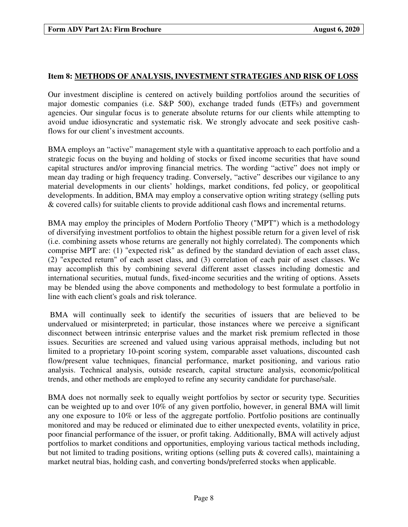#### **Item 8: METHODS OF ANALYSIS, INVESTMENT STRATEGIES AND RISK OF LOSS**

Our investment discipline is centered on actively building portfolios around the securities of major domestic companies (i.e. S&P 500), exchange traded funds (ETFs) and government agencies. Our singular focus is to generate absolute returns for our clients while attempting to avoid undue idiosyncratic and systematic risk. We strongly advocate and seek positive cashflows for our client's investment accounts.

BMA employs an "active" management style with a quantitative approach to each portfolio and a strategic focus on the buying and holding of stocks or fixed income securities that have sound capital structures and/or improving financial metrics. The wording "active" does not imply or mean day trading or high frequency trading. Conversely, "active" describes our vigilance to any material developments in our clients' holdings, market conditions, fed policy, or geopolitical developments. In addition, BMA may employ a conservative option writing strategy (selling puts & covered calls) for suitable clients to provide additional cash flows and incremental returns.

BMA may employ the principles of Modern Portfolio Theory ("MPT") which is a methodology of diversifying investment portfolios to obtain the highest possible return for a given level of risk (i.e. combining assets whose returns are generally not highly correlated). The components which comprise MPT are: (1) "expected risk" as defined by the standard deviation of each asset class, (2) "expected return" of each asset class, and (3) correlation of each pair of asset classes. We may accomplish this by combining several different asset classes including domestic and international securities, mutual funds, fixed-income securities and the writing of options. Assets may be blended using the above components and methodology to best formulate a portfolio in line with each client's goals and risk tolerance.

 BMA will continually seek to identify the securities of issuers that are believed to be undervalued or misinterpreted; in particular, those instances where we perceive a significant disconnect between intrinsic enterprise values and the market risk premium reflected in those issues. Securities are screened and valued using various appraisal methods, including but not limited to a proprietary 10-point scoring system, comparable asset valuations, discounted cash flow/present value techniques, financial performance, market positioning, and various ratio analysis. Technical analysis, outside research, capital structure analysis, economic/political trends, and other methods are employed to refine any security candidate for purchase/sale.

BMA does not normally seek to equally weight portfolios by sector or security type. Securities can be weighted up to and over 10% of any given portfolio, however, in general BMA will limit any one exposure to 10% or less of the aggregate portfolio. Portfolio positions are continually monitored and may be reduced or eliminated due to either unexpected events, volatility in price, poor financial performance of the issuer, or profit taking. Additionally, BMA will actively adjust portfolios to market conditions and opportunities, employing various tactical methods including, but not limited to trading positions, writing options (selling puts & covered calls), maintaining a market neutral bias, holding cash, and converting bonds/preferred stocks when applicable.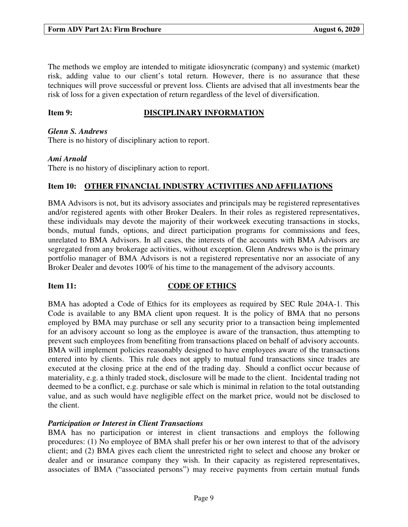The methods we employ are intended to mitigate idiosyncratic (company) and systemic (market) risk, adding value to our client's total return. However, there is no assurance that these techniques will prove successful or prevent loss. Clients are advised that all investments bear the risk of loss for a given expectation of return regardless of the level of diversification.

### **Item 9: DISCIPLINARY INFORMATION**

#### *Glenn S. Andrews*

There is no history of disciplinary action to report.

#### *Ami Arnold*

There is no history of disciplinary action to report.

### **Item 10: OTHER FINANCIAL INDUSTRY ACTIVITIES AND AFFILIATIONS**

BMA Advisors is not, but its advisory associates and principals may be registered representatives and/or registered agents with other Broker Dealers. In their roles as registered representatives, these individuals may devote the majority of their workweek executing transactions in stocks, bonds, mutual funds, options, and direct participation programs for commissions and fees, unrelated to BMA Advisors. In all cases, the interests of the accounts with BMA Advisors are segregated from any brokerage activities, without exception. Glenn Andrews who is the primary portfolio manager of BMA Advisors is not a registered representative nor an associate of any Broker Dealer and devotes 100% of his time to the management of the advisory accounts.

#### **Item 11:** CODE OF ETHICS

BMA has adopted a Code of Ethics for its employees as required by SEC Rule 204A-1. This Code is available to any BMA client upon request. It is the policy of BMA that no persons employed by BMA may purchase or sell any security prior to a transaction being implemented for an advisory account so long as the employee is aware of the transaction, thus attempting to prevent such employees from benefiting from transactions placed on behalf of advisory accounts. BMA will implement policies reasonably designed to have employees aware of the transactions entered into by clients. This rule does not apply to mutual fund transactions since trades are executed at the closing price at the end of the trading day. Should a conflict occur because of materiality, e.g. a thinly traded stock, disclosure will be made to the client. Incidental trading not deemed to be a conflict, e.g. purchase or sale which is minimal in relation to the total outstanding value, and as such would have negligible effect on the market price, would not be disclosed to the client.

#### *Participation or Interest in Client Transactions*

BMA has no participation or interest in client transactions and employs the following procedures: (1) No employee of BMA shall prefer his or her own interest to that of the advisory client; and (2) BMA gives each client the unrestricted right to select and choose any broker or dealer and or insurance company they wish. In their capacity as registered representatives, associates of BMA ("associated persons") may receive payments from certain mutual funds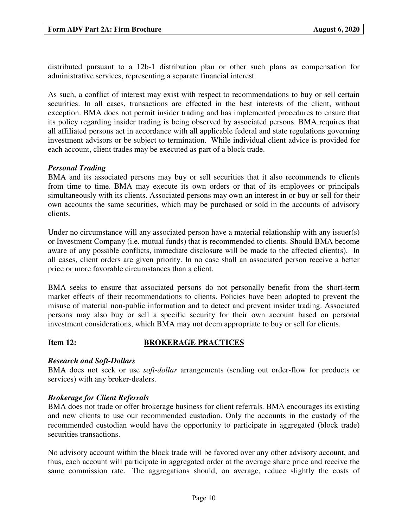distributed pursuant to a 12b-1 distribution plan or other such plans as compensation for administrative services, representing a separate financial interest.

As such, a conflict of interest may exist with respect to recommendations to buy or sell certain securities. In all cases, transactions are effected in the best interests of the client, without exception. BMA does not permit insider trading and has implemented procedures to ensure that its policy regarding insider trading is being observed by associated persons. BMA requires that all affiliated persons act in accordance with all applicable federal and state regulations governing investment advisors or be subject to termination. While individual client advice is provided for each account, client trades may be executed as part of a block trade.

### *Personal Trading*

BMA and its associated persons may buy or sell securities that it also recommends to clients from time to time. BMA may execute its own orders or that of its employees or principals simultaneously with its clients. Associated persons may own an interest in or buy or sell for their own accounts the same securities, which may be purchased or sold in the accounts of advisory clients.

Under no circumstance will any associated person have a material relationship with any issuer(s) or Investment Company (i.e. mutual funds) that is recommended to clients. Should BMA become aware of any possible conflicts, immediate disclosure will be made to the affected client(s). In all cases, client orders are given priority. In no case shall an associated person receive a better price or more favorable circumstances than a client.

BMA seeks to ensure that associated persons do not personally benefit from the short-term market effects of their recommendations to clients. Policies have been adopted to prevent the misuse of material non-public information and to detect and prevent insider trading. Associated persons may also buy or sell a specific security for their own account based on personal investment considerations, which BMA may not deem appropriate to buy or sell for clients.

#### **Item 12: BROKERAGE PRACTICES**

#### *Research and Soft-Dollars*

BMA does not seek or use *soft-dollar* arrangements (sending out order-flow for products or services) with any broker-dealers.

#### *Brokerage for Client Referrals*

BMA does not trade or offer brokerage business for client referrals*.* BMA encourages its existing and new clients to use our recommended custodian. Only the accounts in the custody of the recommended custodian would have the opportunity to participate in aggregated (block trade) securities transactions.

No advisory account within the block trade will be favored over any other advisory account, and thus, each account will participate in aggregated order at the average share price and receive the same commission rate. The aggregations should, on average, reduce slightly the costs of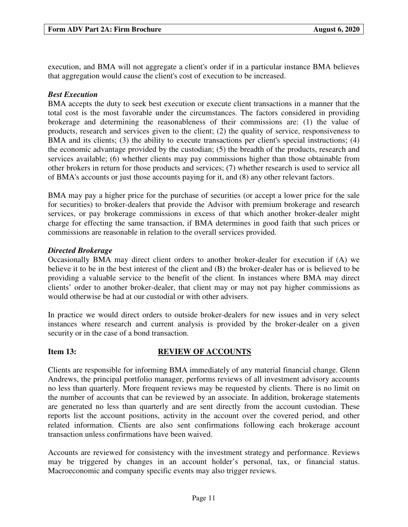execution, and BMA will not aggregate a client's order if in a particular instance BMA believes that aggregation would cause the client's cost of execution to be increased.

### *Best Execution*

BMA accepts the duty to seek best execution or execute client transactions in a manner that the total cost is the most favorable under the circumstances. The factors considered in providing brokerage and determining the reasonableness of their commissions are: (1) the value of products, research and services given to the client; (2) the quality of service, responsiveness to BMA and its clients; (3) the ability to execute transactions per client's special instructions; (4) the economic advantage provided by the custodian; (5) the breadth of the products, research and services available; (6) whether clients may pay commissions higher than those obtainable from other brokers in return for those products and services; (7) whether research is used to service all of BMA's accounts or just those accounts paying for it, and (8) any other relevant factors.

BMA may pay a higher price for the purchase of securities (or accept a lower price for the sale for securities) to broker-dealers that provide the Advisor with premium brokerage and research services, or pay brokerage commissions in excess of that which another broker-dealer might charge for effecting the same transaction, if BMA determines in good faith that such prices or commissions are reasonable in relation to the overall services provided.

### *Directed Brokerage*

Occasionally BMA may direct client orders to another broker-dealer for execution if (A) we believe it to be in the best interest of the client and (B) the broker-dealer has or is believed to be providing a valuable service to the benefit of the client. In instances where BMA may direct clients' order to another broker-dealer, that client may or may not pay higher commissions as would otherwise be had at our custodial or with other advisers.

In practice we would direct orders to outside broker-dealers for new issues and in very select instances where research and current analysis is provided by the broker-dealer on a given security or in the case of a bond transaction.

### **Item 13: REVIEW OF ACCOUNTS**

Clients are responsible for informing BMA immediately of any material financial change. Glenn Andrews, the principal portfolio manager, performs reviews of all investment advisory accounts no less than quarterly. More frequent reviews may be requested by clients. There is no limit on the number of accounts that can be reviewed by an associate. In addition, brokerage statements are generated no less than quarterly and are sent directly from the account custodian. These reports list the account positions, activity in the account over the covered period, and other related information. Clients are also sent confirmations following each brokerage account transaction unless confirmations have been waived.

Accounts are reviewed for consistency with the investment strategy and performance. Reviews may be triggered by changes in an account holder's personal, tax, or financial status. Macroeconomic and company specific events may also trigger reviews.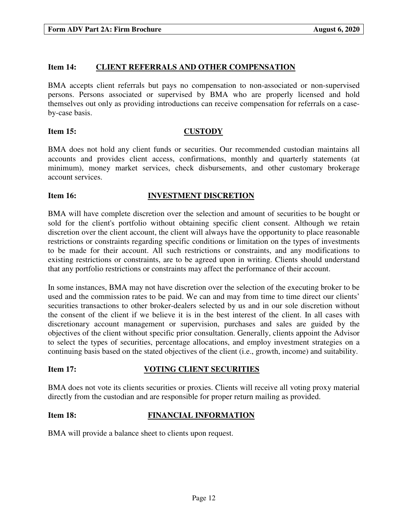#### **Item 14: CLIENT REFERRALS AND OTHER COMPENSATION**

BMA accepts client referrals but pays no compensation to non-associated or non-supervised persons. Persons associated or supervised by BMA who are properly licensed and hold themselves out only as providing introductions can receive compensation for referrals on a caseby-case basis.

#### **Item 15: CUSTODY**

BMA does not hold any client funds or securities. Our recommended custodian maintains all accounts and provides client access, confirmations, monthly and quarterly statements (at minimum), money market services, check disbursements, and other customary brokerage account services.

#### **Item 16: INVESTMENT DISCRETION**

BMA will have complete discretion over the selection and amount of securities to be bought or sold for the client's portfolio without obtaining specific client consent. Although we retain discretion over the client account, the client will always have the opportunity to place reasonable restrictions or constraints regarding specific conditions or limitation on the types of investments to be made for their account. All such restrictions or constraints, and any modifications to existing restrictions or constraints, are to be agreed upon in writing. Clients should understand that any portfolio restrictions or constraints may affect the performance of their account.

In some instances, BMA may not have discretion over the selection of the executing broker to be used and the commission rates to be paid. We can and may from time to time direct our clients' securities transactions to other broker-dealers selected by us and in our sole discretion without the consent of the client if we believe it is in the best interest of the client. In all cases with discretionary account management or supervision, purchases and sales are guided by the objectives of the client without specific prior consultation. Generally, clients appoint the Advisor to select the types of securities, percentage allocations, and employ investment strategies on a continuing basis based on the stated objectives of the client (i.e., growth, income) and suitability.

#### **Item 17: VOTING CLIENT SECURITIES**

BMA does not vote its clients securities or proxies. Clients will receive all voting proxy material directly from the custodian and are responsible for proper return mailing as provided.

#### **Item 18: FINANCIAL INFORMATION**

BMA will provide a balance sheet to clients upon request.